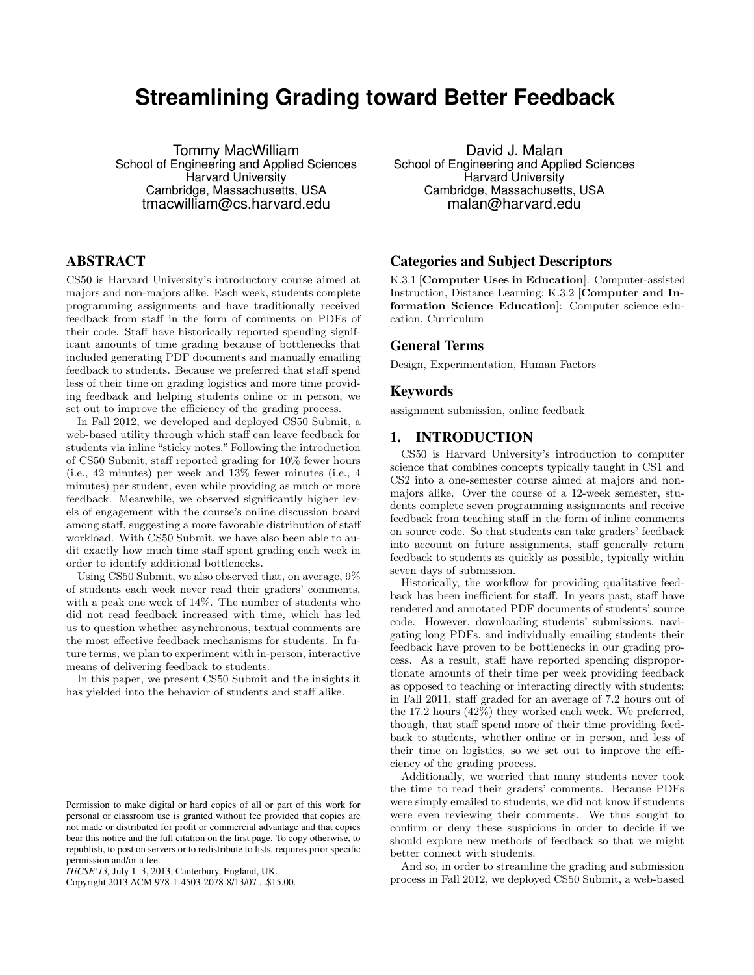# **Streamlining Grading toward Better Feedback**

Tommy MacWilliam School of Engineering and Applied Sciences Harvard University Cambridge, Massachusetts, USA tmacwilliam@cs.harvard.edu

## ABSTRACT

CS50 is Harvard University's introductory course aimed at majors and non-majors alike. Each week, students complete programming assignments and have traditionally received feedback from staff in the form of comments on PDFs of their code. Staff have historically reported spending significant amounts of time grading because of bottlenecks that included generating PDF documents and manually emailing feedback to students. Because we preferred that staff spend less of their time on grading logistics and more time providing feedback and helping students online or in person, we set out to improve the efficiency of the grading process.

In Fall 2012, we developed and deployed CS50 Submit, a web-based utility through which staff can leave feedback for students via inline "sticky notes." Following the introduction of CS50 Submit, staff reported grading for 10% fewer hours (i.e., 42 minutes) per week and 13% fewer minutes (i.e., 4 minutes) per student, even while providing as much or more feedback. Meanwhile, we observed significantly higher levels of engagement with the course's online discussion board among staff, suggesting a more favorable distribution of staff workload. With CS50 Submit, we have also been able to audit exactly how much time staff spent grading each week in order to identify additional bottlenecks.

Using CS50 Submit, we also observed that, on average, 9% of students each week never read their graders' comments, with a peak one week of 14%. The number of students who did not read feedback increased with time, which has led us to question whether asynchronous, textual comments are the most effective feedback mechanisms for students. In future terms, we plan to experiment with in-person, interactive means of delivering feedback to students.

In this paper, we present CS50 Submit and the insights it has yielded into the behavior of students and staff alike.

Copyright 2013 ACM 978-1-4503-2078-8/13/07 ...\$15.00.

David J. Malan School of Engineering and Applied Sciences Harvard University Cambridge, Massachusetts, USA malan@harvard.edu

### Categories and Subject Descriptors

K.3.1 [Computer Uses in Education]: Computer-assisted Instruction, Distance Learning; K.3.2 [Computer and Information Science Education]: Computer science education, Curriculum

#### General Terms

Design, Experimentation, Human Factors

#### Keywords

assignment submission, online feedback

#### 1. INTRODUCTION

CS50 is Harvard University's introduction to computer science that combines concepts typically taught in CS1 and CS2 into a one-semester course aimed at majors and nonmajors alike. Over the course of a 12-week semester, students complete seven programming assignments and receive feedback from teaching staff in the form of inline comments on source code. So that students can take graders' feedback into account on future assignments, staff generally return feedback to students as quickly as possible, typically within seven days of submission.

Historically, the workflow for providing qualitative feedback has been inefficient for staff. In years past, staff have rendered and annotated PDF documents of students' source code. However, downloading students' submissions, navigating long PDFs, and individually emailing students their feedback have proven to be bottlenecks in our grading process. As a result, staff have reported spending disproportionate amounts of their time per week providing feedback as opposed to teaching or interacting directly with students: in Fall 2011, staff graded for an average of 7.2 hours out of the 17.2 hours (42%) they worked each week. We preferred, though, that staff spend more of their time providing feedback to students, whether online or in person, and less of their time on logistics, so we set out to improve the efficiency of the grading process.

Additionally, we worried that many students never took the time to read their graders' comments. Because PDFs were simply emailed to students, we did not know if students were even reviewing their comments. We thus sought to confirm or deny these suspicions in order to decide if we should explore new methods of feedback so that we might better connect with students.

And so, in order to streamline the grading and submission process in Fall 2012, we deployed CS50 Submit, a web-based

Permission to make digital or hard copies of all or part of this work for personal or classroom use is granted without fee provided that copies are not made or distributed for profit or commercial advantage and that copies bear this notice and the full citation on the first page. To copy otherwise, to republish, to post on servers or to redistribute to lists, requires prior specific permission and/or a fee.

*ITiCSE'13,* July 1–3, 2013, Canterbury, England, UK.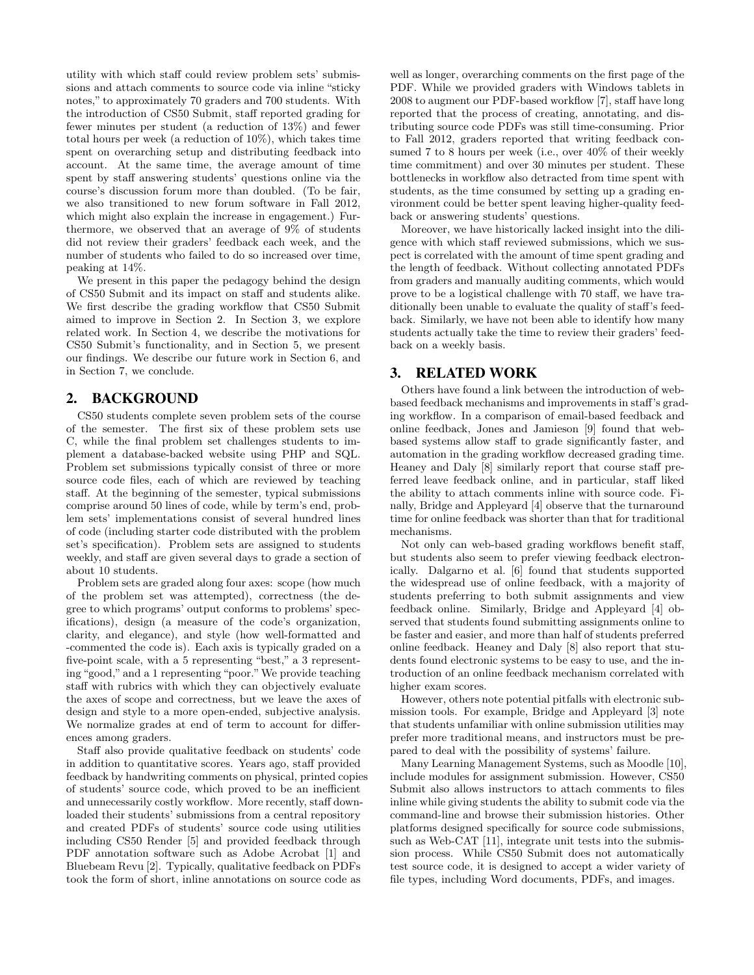utility with which staff could review problem sets' submissions and attach comments to source code via inline "sticky notes," to approximately 70 graders and 700 students. With the introduction of CS50 Submit, staff reported grading for fewer minutes per student (a reduction of 13%) and fewer total hours per week (a reduction of 10%), which takes time spent on overarching setup and distributing feedback into account. At the same time, the average amount of time spent by staff answering students' questions online via the course's discussion forum more than doubled. (To be fair, we also transitioned to new forum software in Fall 2012, which might also explain the increase in engagement.) Furthermore, we observed that an average of 9% of students did not review their graders' feedback each week, and the number of students who failed to do so increased over time, peaking at 14%.

We present in this paper the pedagogy behind the design of CS50 Submit and its impact on staff and students alike. We first describe the grading workflow that CS50 Submit aimed to improve in Section 2. In Section 3, we explore related work. In Section 4, we describe the motivations for CS50 Submit's functionality, and in Section 5, we present our findings. We describe our future work in Section 6, and in Section 7, we conclude.

### 2. BACKGROUND

CS50 students complete seven problem sets of the course of the semester. The first six of these problem sets use C, while the final problem set challenges students to implement a database-backed website using PHP and SQL. Problem set submissions typically consist of three or more source code files, each of which are reviewed by teaching staff. At the beginning of the semester, typical submissions comprise around 50 lines of code, while by term's end, problem sets' implementations consist of several hundred lines of code (including starter code distributed with the problem set's specification). Problem sets are assigned to students weekly, and staff are given several days to grade a section of about 10 students.

Problem sets are graded along four axes: scope (how much of the problem set was attempted), correctness (the degree to which programs' output conforms to problems' specifications), design (a measure of the code's organization, clarity, and elegance), and style (how well-formatted and -commented the code is). Each axis is typically graded on a five-point scale, with a 5 representing "best," a 3 representing "good," and a 1 representing "poor."We provide teaching staff with rubrics with which they can objectively evaluate the axes of scope and correctness, but we leave the axes of design and style to a more open-ended, subjective analysis. We normalize grades at end of term to account for differences among graders.

Staff also provide qualitative feedback on students' code in addition to quantitative scores. Years ago, staff provided feedback by handwriting comments on physical, printed copies of students' source code, which proved to be an inefficient and unnecessarily costly workflow. More recently, staff downloaded their students' submissions from a central repository and created PDFs of students' source code using utilities including CS50 Render [5] and provided feedback through PDF annotation software such as Adobe Acrobat [1] and Bluebeam Revu [2]. Typically, qualitative feedback on PDFs took the form of short, inline annotations on source code as

well as longer, overarching comments on the first page of the PDF. While we provided graders with Windows tablets in 2008 to augment our PDF-based workflow [7], staff have long reported that the process of creating, annotating, and distributing source code PDFs was still time-consuming. Prior to Fall 2012, graders reported that writing feedback consumed 7 to 8 hours per week (i.e., over 40% of their weekly time commitment) and over 30 minutes per student. These bottlenecks in workflow also detracted from time spent with students, as the time consumed by setting up a grading environment could be better spent leaving higher-quality feedback or answering students' questions.

Moreover, we have historically lacked insight into the diligence with which staff reviewed submissions, which we suspect is correlated with the amount of time spent grading and the length of feedback. Without collecting annotated PDFs from graders and manually auditing comments, which would prove to be a logistical challenge with 70 staff, we have traditionally been unable to evaluate the quality of staff's feedback. Similarly, we have not been able to identify how many students actually take the time to review their graders' feedback on a weekly basis.

### 3. RELATED WORK

Others have found a link between the introduction of webbased feedback mechanisms and improvements in staff's grading workflow. In a comparison of email-based feedback and online feedback, Jones and Jamieson [9] found that webbased systems allow staff to grade significantly faster, and automation in the grading workflow decreased grading time. Heaney and Daly [8] similarly report that course staff preferred leave feedback online, and in particular, staff liked the ability to attach comments inline with source code. Finally, Bridge and Appleyard [4] observe that the turnaround time for online feedback was shorter than that for traditional mechanisms.

Not only can web-based grading workflows benefit staff, but students also seem to prefer viewing feedback electronically. Dalgarno et al. [6] found that students supported the widespread use of online feedback, with a majority of students preferring to both submit assignments and view feedback online. Similarly, Bridge and Appleyard [4] observed that students found submitting assignments online to be faster and easier, and more than half of students preferred online feedback. Heaney and Daly [8] also report that students found electronic systems to be easy to use, and the introduction of an online feedback mechanism correlated with higher exam scores.

However, others note potential pitfalls with electronic submission tools. For example, Bridge and Appleyard [3] note that students unfamiliar with online submission utilities may prefer more traditional means, and instructors must be prepared to deal with the possibility of systems' failure.

Many Learning Management Systems, such as Moodle [10], include modules for assignment submission. However, CS50 Submit also allows instructors to attach comments to files inline while giving students the ability to submit code via the command-line and browse their submission histories. Other platforms designed specifically for source code submissions, such as Web-CAT [11], integrate unit tests into the submission process. While CS50 Submit does not automatically test source code, it is designed to accept a wider variety of file types, including Word documents, PDFs, and images.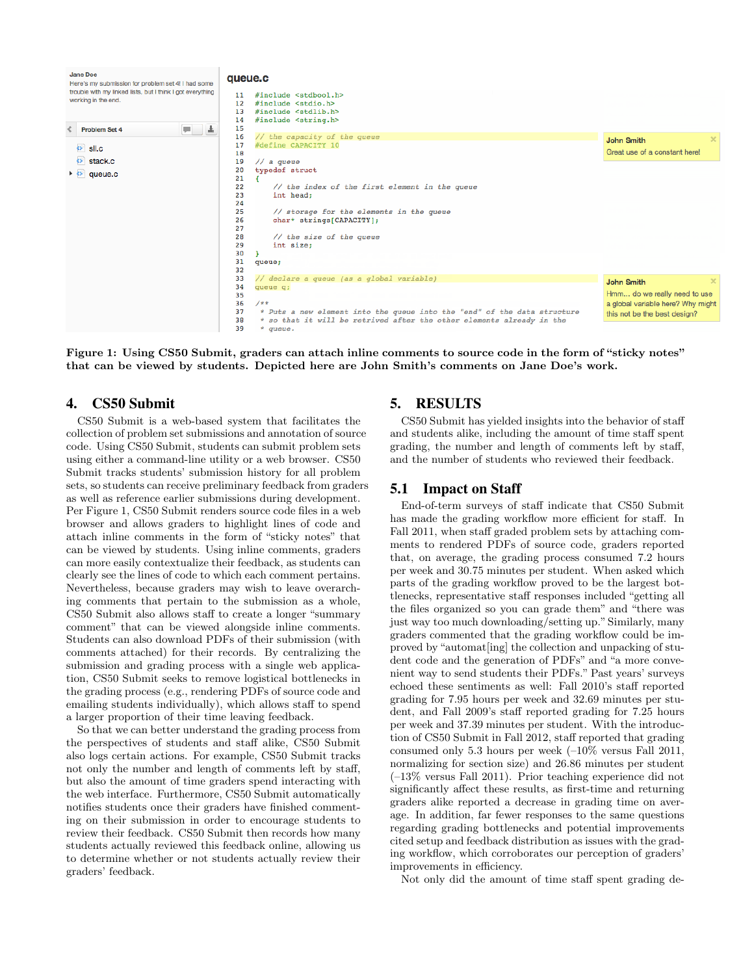| Jane Doe<br>Here's my submission for problem set 4! I had some<br>trouble with my linked lists, but I think I got everything<br>working in the end. | queue.c<br>#include <stdbool.h><br/>11<br/>#include <stdio.h><br/><math>12 \overline{ }</math><br/>#include <stdlib.h><br/>13<br/>#include <string.h><br/>14</string.h></stdlib.h></stdio.h></stdbool.h>                                                                  |                                                                                                                        |
|-----------------------------------------------------------------------------------------------------------------------------------------------------|---------------------------------------------------------------------------------------------------------------------------------------------------------------------------------------------------------------------------------------------------------------------------|------------------------------------------------------------------------------------------------------------------------|
| 圡<br>v.<br><b>Problem Set 4</b><br>$\bullet$ sll.c                                                                                                  | 15<br>// the capacity of the queue<br>16<br>#define CAPACITY 10<br>17                                                                                                                                                                                                     | <b>John Smith</b>                                                                                                      |
| $\left  \bullet \right $ stack.c<br>$\triangleright$ $\triangleright$ queue.c                                                                       | 18<br>19<br>// a queue<br>typedef struct<br>20                                                                                                                                                                                                                            | Great use of a constant here!                                                                                          |
|                                                                                                                                                     | 21<br>22<br>// the index of the first element in the queue<br>23<br>int head;<br>24<br>25<br>// storage for the elements in the queue<br>26<br>char* strings[CAPACITY];<br>27<br>28<br>// the size of the queue<br>29<br>int size;<br>30<br>31<br>queue;<br>32            |                                                                                                                        |
|                                                                                                                                                     | 33<br>// declare a queue (as a global variable)<br>34<br>queue q;<br>35<br>36<br>$/**$<br>* Puts a new element into the queue into the "end" of the data structure<br>37<br>38<br>* so that it will be retrived after the other elements already in the<br>39<br>* queue. | <b>John Smith</b><br>Hmm do we really need to use<br>a global variable here? Why might<br>this not be the best design? |

Figure 1: Using CS50 Submit, graders can attach inline comments to source code in the form of "sticky notes" that can be viewed by students. Depicted here are John Smith's comments on Jane Doe's work.

### 4. CS50 Submit

CS50 Submit is a web-based system that facilitates the collection of problem set submissions and annotation of source code. Using CS50 Submit, students can submit problem sets using either a command-line utility or a web browser. CS50 Submit tracks students' submission history for all problem sets, so students can receive preliminary feedback from graders as well as reference earlier submissions during development. Per Figure 1, CS50 Submit renders source code files in a web browser and allows graders to highlight lines of code and attach inline comments in the form of "sticky notes" that can be viewed by students. Using inline comments, graders can more easily contextualize their feedback, as students can clearly see the lines of code to which each comment pertains. Nevertheless, because graders may wish to leave overarching comments that pertain to the submission as a whole, CS50 Submit also allows staff to create a longer "summary comment" that can be viewed alongside inline comments. Students can also download PDFs of their submission (with comments attached) for their records. By centralizing the submission and grading process with a single web application, CS50 Submit seeks to remove logistical bottlenecks in the grading process (e.g., rendering PDFs of source code and emailing students individually), which allows staff to spend a larger proportion of their time leaving feedback.

So that we can better understand the grading process from the perspectives of students and staff alike, CS50 Submit also logs certain actions. For example, CS50 Submit tracks not only the number and length of comments left by staff, but also the amount of time graders spend interacting with the web interface. Furthermore, CS50 Submit automatically notifies students once their graders have finished commenting on their submission in order to encourage students to review their feedback. CS50 Submit then records how many students actually reviewed this feedback online, allowing us to determine whether or not students actually review their graders' feedback.

## 5. RESULTS

CS50 Submit has yielded insights into the behavior of staff and students alike, including the amount of time staff spent grading, the number and length of comments left by staff, and the number of students who reviewed their feedback.

### 5.1 Impact on Staff

End-of-term surveys of staff indicate that CS50 Submit has made the grading workflow more efficient for staff. In Fall 2011, when staff graded problem sets by attaching comments to rendered PDFs of source code, graders reported that, on average, the grading process consumed 7.2 hours per week and 30.75 minutes per student. When asked which parts of the grading workflow proved to be the largest bottlenecks, representative staff responses included "getting all the files organized so you can grade them" and "there was just way too much downloading/setting up." Similarly, many graders commented that the grading workflow could be improved by "automat[ing] the collection and unpacking of student code and the generation of PDFs" and "a more convenient way to send students their PDFs." Past years' surveys echoed these sentiments as well: Fall 2010's staff reported grading for 7.95 hours per week and 32.69 minutes per student, and Fall 2009's staff reported grading for 7.25 hours per week and 37.39 minutes per student. With the introduction of CS50 Submit in Fall 2012, staff reported that grading consumed only 5.3 hours per week (–10% versus Fall 2011, normalizing for section size) and 26.86 minutes per student (–13% versus Fall 2011). Prior teaching experience did not significantly affect these results, as first-time and returning graders alike reported a decrease in grading time on average. In addition, far fewer responses to the same questions regarding grading bottlenecks and potential improvements cited setup and feedback distribution as issues with the grading workflow, which corroborates our perception of graders' improvements in efficiency.

Not only did the amount of time staff spent grading de-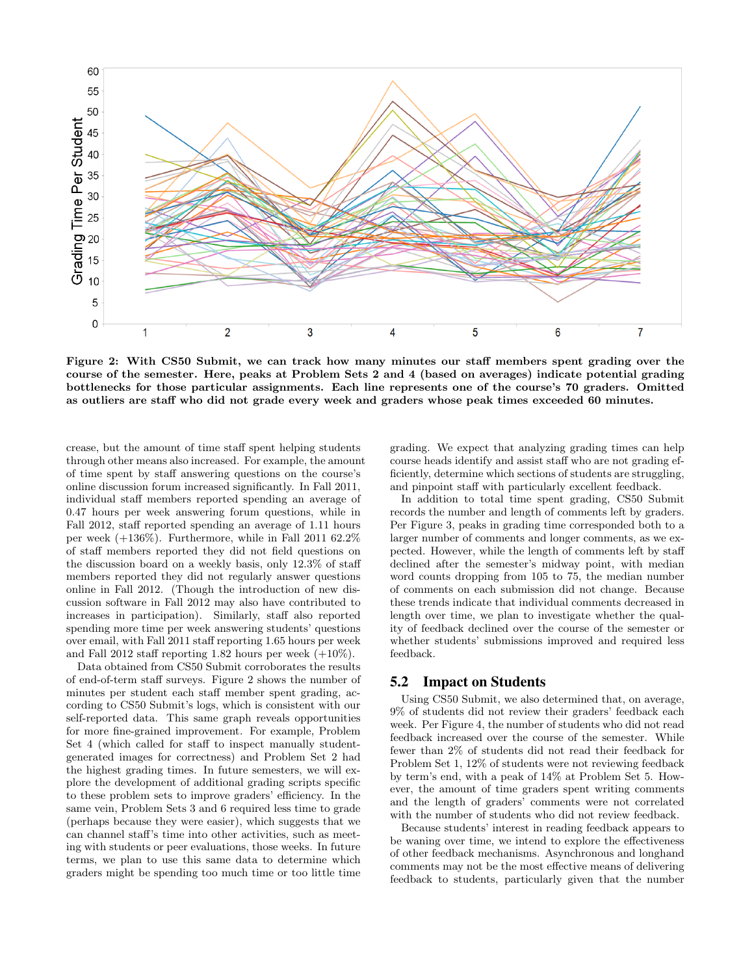

Figure 2: With CS50 Submit, we can track how many minutes our staff members spent grading over the course of the semester. Here, peaks at Problem Sets 2 and 4 (based on averages) indicate potential grading bottlenecks for those particular assignments. Each line represents one of the course's 70 graders. Omitted as outliers are staff who did not grade every week and graders whose peak times exceeded 60 minutes.

crease, but the amount of time staff spent helping students through other means also increased. For example, the amount of time spent by staff answering questions on the course's online discussion forum increased significantly. In Fall 2011, individual staff members reported spending an average of 0.47 hours per week answering forum questions, while in Fall 2012, staff reported spending an average of 1.11 hours per week  $(+136\%)$ . Furthermore, while in Fall 2011 62.2% of staff members reported they did not field questions on the discussion board on a weekly basis, only 12.3% of staff members reported they did not regularly answer questions online in Fall 2012. (Though the introduction of new discussion software in Fall 2012 may also have contributed to increases in participation). Similarly, staff also reported spending more time per week answering students' questions over email, with Fall 2011 staff reporting 1.65 hours per week and Fall 2012 staff reporting 1.82 hours per week  $(+10\%)$ .

Data obtained from CS50 Submit corroborates the results of end-of-term staff surveys. Figure 2 shows the number of minutes per student each staff member spent grading, according to CS50 Submit's logs, which is consistent with our self-reported data. This same graph reveals opportunities for more fine-grained improvement. For example, Problem Set 4 (which called for staff to inspect manually studentgenerated images for correctness) and Problem Set 2 had the highest grading times. In future semesters, we will explore the development of additional grading scripts specific to these problem sets to improve graders' efficiency. In the same vein, Problem Sets 3 and 6 required less time to grade (perhaps because they were easier), which suggests that we can channel staff's time into other activities, such as meeting with students or peer evaluations, those weeks. In future terms, we plan to use this same data to determine which graders might be spending too much time or too little time grading. We expect that analyzing grading times can help course heads identify and assist staff who are not grading efficiently, determine which sections of students are struggling, and pinpoint staff with particularly excellent feedback.

In addition to total time spent grading, CS50 Submit records the number and length of comments left by graders. Per Figure 3, peaks in grading time corresponded both to a larger number of comments and longer comments, as we expected. However, while the length of comments left by staff declined after the semester's midway point, with median word counts dropping from 105 to 75, the median number of comments on each submission did not change. Because these trends indicate that individual comments decreased in length over time, we plan to investigate whether the quality of feedback declined over the course of the semester or whether students' submissions improved and required less feedback.

### 5.2 Impact on Students

Using CS50 Submit, we also determined that, on average, 9% of students did not review their graders' feedback each week. Per Figure 4, the number of students who did not read feedback increased over the course of the semester. While fewer than 2% of students did not read their feedback for Problem Set 1, 12% of students were not reviewing feedback by term's end, with a peak of 14% at Problem Set 5. However, the amount of time graders spent writing comments and the length of graders' comments were not correlated with the number of students who did not review feedback.

Because students' interest in reading feedback appears to be waning over time, we intend to explore the effectiveness of other feedback mechanisms. Asynchronous and longhand comments may not be the most effective means of delivering feedback to students, particularly given that the number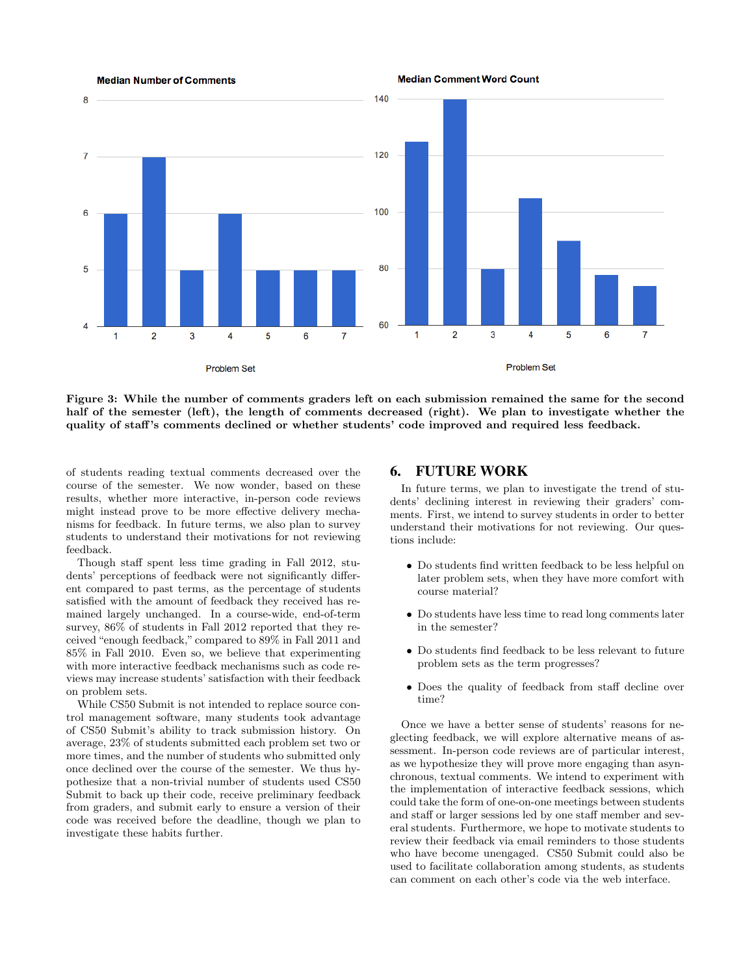

Figure 3: While the number of comments graders left on each submission remained the same for the second half of the semester (left), the length of comments decreased (right). We plan to investigate whether the quality of staff 's comments declined or whether students' code improved and required less feedback.

of students reading textual comments decreased over the course of the semester. We now wonder, based on these results, whether more interactive, in-person code reviews might instead prove to be more effective delivery mechanisms for feedback. In future terms, we also plan to survey students to understand their motivations for not reviewing feedback.

Though staff spent less time grading in Fall 2012, students' perceptions of feedback were not significantly different compared to past terms, as the percentage of students satisfied with the amount of feedback they received has remained largely unchanged. In a course-wide, end-of-term survey, 86% of students in Fall 2012 reported that they received "enough feedback," compared to 89% in Fall 2011 and 85% in Fall 2010. Even so, we believe that experimenting with more interactive feedback mechanisms such as code reviews may increase students' satisfaction with their feedback on problem sets.

While CS50 Submit is not intended to replace source control management software, many students took advantage of CS50 Submit's ability to track submission history. On average, 23% of students submitted each problem set two or more times, and the number of students who submitted only once declined over the course of the semester. We thus hypothesize that a non-trivial number of students used CS50 Submit to back up their code, receive preliminary feedback from graders, and submit early to ensure a version of their code was received before the deadline, though we plan to investigate these habits further.

#### 6. FUTURE WORK

In future terms, we plan to investigate the trend of students' declining interest in reviewing their graders' comments. First, we intend to survey students in order to better understand their motivations for not reviewing. Our questions include:

- Do students find written feedback to be less helpful on later problem sets, when they have more comfort with course material?
- Do students have less time to read long comments later in the semester?
- Do students find feedback to be less relevant to future problem sets as the term progresses?
- Does the quality of feedback from staff decline over time?

Once we have a better sense of students' reasons for neglecting feedback, we will explore alternative means of assessment. In-person code reviews are of particular interest, as we hypothesize they will prove more engaging than asynchronous, textual comments. We intend to experiment with the implementation of interactive feedback sessions, which could take the form of one-on-one meetings between students and staff or larger sessions led by one staff member and several students. Furthermore, we hope to motivate students to review their feedback via email reminders to those students who have become unengaged. CS50 Submit could also be used to facilitate collaboration among students, as students can comment on each other's code via the web interface.